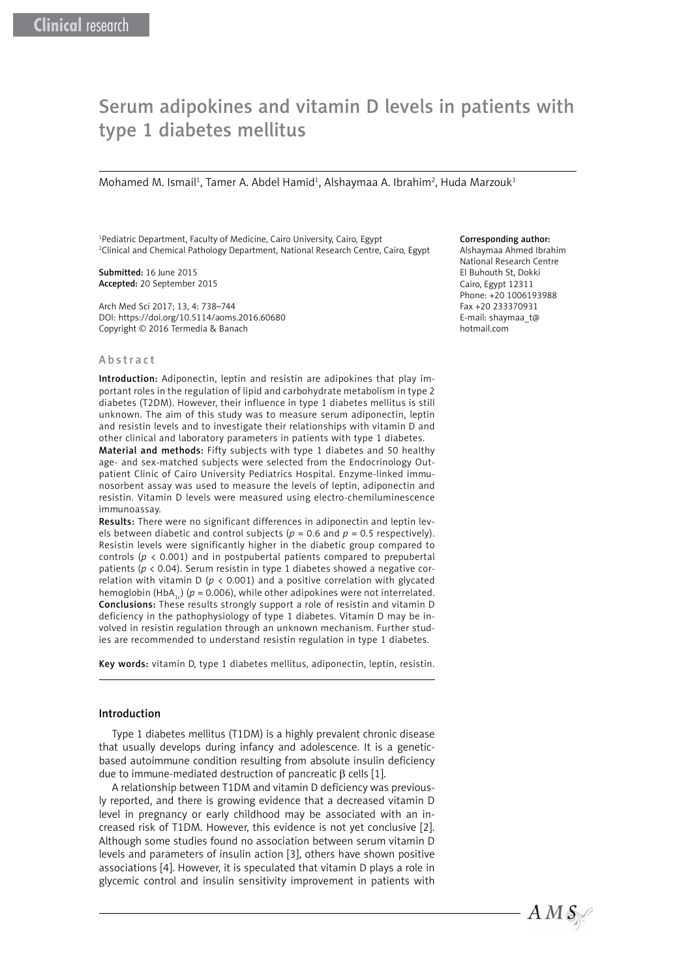# Serum adipokines and vitamin D levels in patients with type 1 diabetes mellitus

Mohamed M. Ismail<sup>1</sup>, Tamer A. Abdel Hamid<sup>1</sup>, Alshaymaa A. Ibrahim<sup>2</sup>, Huda Marzouk<sup>1</sup>

1 Pediatric Department, Faculty of Medicine, Cairo University, Cairo, Egypt 2 Clinical and Chemical Pathology Department, National Research Centre, Cairo, Egypt

Submitted: 16 June 2015 Accepted: 20 September 2015

Arch Med Sci 2017; 13, 4: 738–744 DOI: https://doi.org/10.5114/aoms.2016.60680 Copyright © 2016 Termedia & Banach

#### Abstract

Introduction: Adiponectin, leptin and resistin are adipokines that play important roles in the regulation of lipid and carbohydrate metabolism in type 2 diabetes (T2DM). However, their influence in type 1 diabetes mellitus is still unknown. The aim of this study was to measure serum adiponectin, leptin and resistin levels and to investigate their relationships with vitamin D and other clinical and laboratory parameters in patients with type 1 diabetes.

Material and methods: Fifty subjects with type 1 diabetes and 50 healthy age- and sex-matched subjects were selected from the Endocrinology Outpatient Clinic of Cairo University Pediatrics Hospital. Enzyme-linked immunosorbent assay was used to measure the levels of leptin, adiponectin and resistin. Vitamin D levels were measured using electro-chemiluminescence immunoassay.

Results: There were no significant differences in adiponectin and leptin levels between diabetic and control subjects ( $p = 0.6$  and  $p = 0.5$  respectively). Resistin levels were significantly higher in the diabetic group compared to controls ( $p \lt 0.001$ ) and in postpubertal patients compared to prepubertal patients (*p* < 0.04). Serum resistin in type 1 diabetes showed a negative correlation with vitamin D (*p* < 0.001) and a positive correlation with glycated hemoglobin (HbA<sub>1</sub>) ( $p = 0.006$ ), while other adipokines were not interrelated. Conclusions: These results strongly support a role of resistin and vitamin D deficiency in the pathophysiology of type 1 diabetes. Vitamin D may be involved in resistin regulation through an unknown mechanism. Further studies are recommended to understand resistin regulation in type 1 diabetes.

Key words: vitamin D, type 1 diabetes mellitus, adiponectin, leptin, resistin.

#### Introduction

Type 1 diabetes mellitus (T1DM) is a highly prevalent chronic disease that usually develops during infancy and adolescence. It is a geneticbased autoimmune condition resulting from absolute insulin deficiency due to immune-mediated destruction of pancreatic β cells [1].

A relationship between T1DM and vitamin D deficiency was previously reported, and there is growing evidence that a decreased vitamin D level in pregnancy or early childhood may be associated with an increased risk of T1DM. However, this evidence is not yet conclusive [2]. Although some studies found no association between serum vitamin D levels and parameters of insulin action [3], others have shown positive associations [4]. However, it is speculated that vitamin D plays a role in glycemic control and insulin sensitivity improvement in patients with

#### Corresponding author:

Alshaymaa Ahmed Ibrahim National Research Centre El Buhouth St, Dokki Cairo, Egypt 12311 Phone: +20 1006193988 Fax +20 233370931 E-mail: shaymaa\_t@ hotmail.com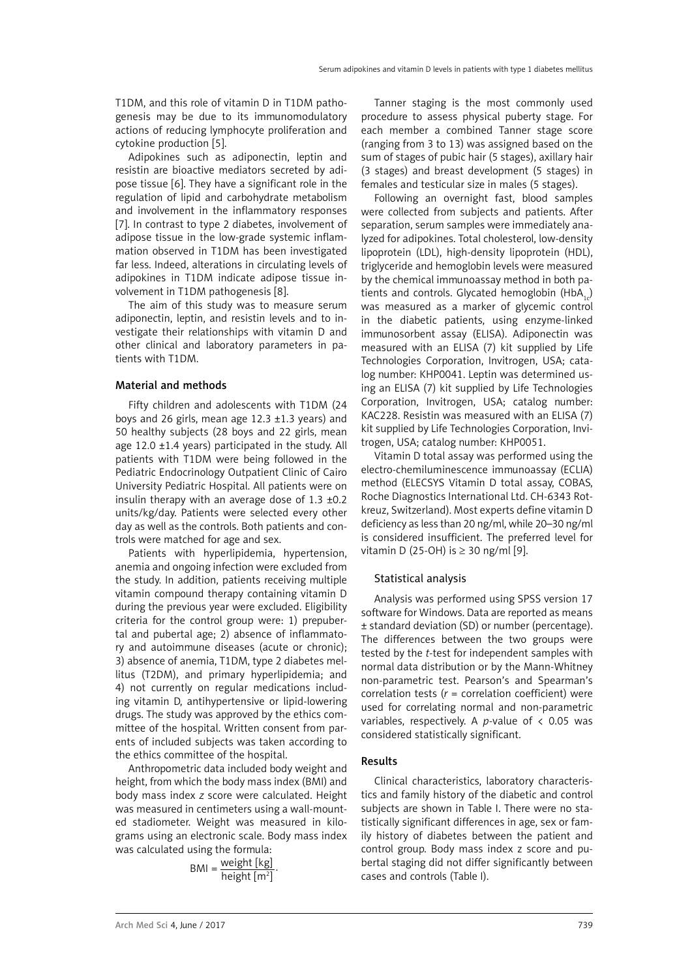T1DM, and this role of vitamin D in T1DM pathogenesis may be due to its immunomodulatory actions of reducing lymphocyte proliferation and cytokine production [5].

Adipokines such as adiponectin, leptin and resistin are bioactive mediators secreted by adipose tissue [6]. They have a significant role in the regulation of lipid and carbohydrate metabolism and involvement in the inflammatory responses [7]. In contrast to type 2 diabetes, involvement of adipose tissue in the low-grade systemic inflammation observed in T1DM has been investigated far less. Indeed, alterations in circulating levels of adipokines in T1DM indicate adipose tissue involvement in T1DM pathogenesis [8].

The aim of this study was to measure serum adiponectin, leptin, and resistin levels and to investigate their relationships with vitamin D and other clinical and laboratory parameters in patients with T1DM.

## Material and methods

Fifty children and adolescents with T1DM (24 boys and 26 girls, mean age  $12.3 \pm 1.3$  years) and 50 healthy subjects (28 boys and 22 girls, mean age 12.0  $\pm$ 1.4 years) participated in the study. All patients with T1DM were being followed in the Pediatric Endocrinology Outpatient Clinic of Cairo University Pediatric Hospital. All patients were on insulin therapy with an average dose of 1.3 ±0.2 units/kg/day. Patients were selected every other day as well as the controls. Both patients and controls were matched for age and sex.

Patients with hyperlipidemia, hypertension, anemia and ongoing infection were excluded from the study. In addition, patients receiving multiple vitamin compound therapy containing vitamin D during the previous year were excluded. Eligibility criteria for the control group were: 1) prepubertal and pubertal age; 2) absence of inflammatory and autoimmune diseases (acute or chronic); 3) absence of anemia, T1DM, type 2 diabetes mellitus (T2DM), and primary hyperlipidemia; and 4) not currently on regular medications including vitamin D, antihypertensive or lipid-lowering drugs. The study was approved by the ethics committee of the hospital. Written consent from parents of included subjects was taken according to the ethics committee of the hospital.

Anthropometric data included body weight and height, from which the body mass index (BMI) and body mass index *z* score were calculated. Height was measured in centimeters using a wall-mounted stadiometer. Weight was measured in kilograms using an electronic scale. Body mass index was calculated using the formula:

 $BMI = \frac{weight [kg]}{height [m^2]}$ .

Tanner staging is the most commonly used procedure to assess physical puberty stage. For each member a combined Tanner stage score (ranging from 3 to 13) was assigned based on the sum of stages of pubic hair (5 stages), axillary hair (3 stages) and breast development (5 stages) in females and testicular size in males (5 stages).

Following an overnight fast, blood samples were collected from subjects and patients. After separation, serum samples were immediately analyzed for adipokines. Total cholesterol, low-density lipoprotein (LDL), high-density lipoprotein (HDL), triglyceride and hemoglobin levels were measured by the chemical immunoassay method in both patients and controls. Glycated hemoglobin  $(HbA_1)$ was measured as a marker of glycemic control in the diabetic patients, using enzyme-linked immunosorbent assay (ELISA). Adiponectin was measured with an ELISA (7) kit supplied by Life Technologies Corporation, Invitrogen, USA; catalog number: KHP0041. Leptin was determined using an ELISA (7) kit supplied by Life Technologies Corporation, Invitrogen, USA; catalog number: KAC228. Resistin was measured with an ELISA (7) kit supplied by Life Technologies Corporation, Invitrogen, USA; catalog number: KHP0051.

Vitamin D total assay was performed using the electro-chemiluminescence immunoassay (ECLIA) method (ELECSYS Vitamin D total assay, COBAS, Roche Diagnostics International Ltd. CH-6343 Rotkreuz, Switzerland). Most experts define vitamin D deficiency as less than 20 ng/ml, while 20–30 ng/ml is considered insufficient. The preferred level for vitamin D (25-OH) is  $\geq$  30 ng/ml [9].

## Statistical analysis

Analysis was performed using SPSS version 17 software for Windows. Data are reported as means ± standard deviation (SD) or number (percentage). The differences between the two groups were tested by the *t*-test for independent samples with normal data distribution or by the Mann-Whitney non-parametric test. Pearson's and Spearman's correlation tests (*r* = correlation coefficient) were used for correlating normal and non-parametric variables, respectively. A *p*-value of  $\lt$  0.05 was considered statistically significant.

## Results

Clinical characteristics, laboratory characteristics and family history of the diabetic and control subjects are shown in Table I. There were no statistically significant differences in age, sex or family history of diabetes between the patient and control group. Body mass index z score and pubertal staging did not differ significantly between cases and controls (Table I).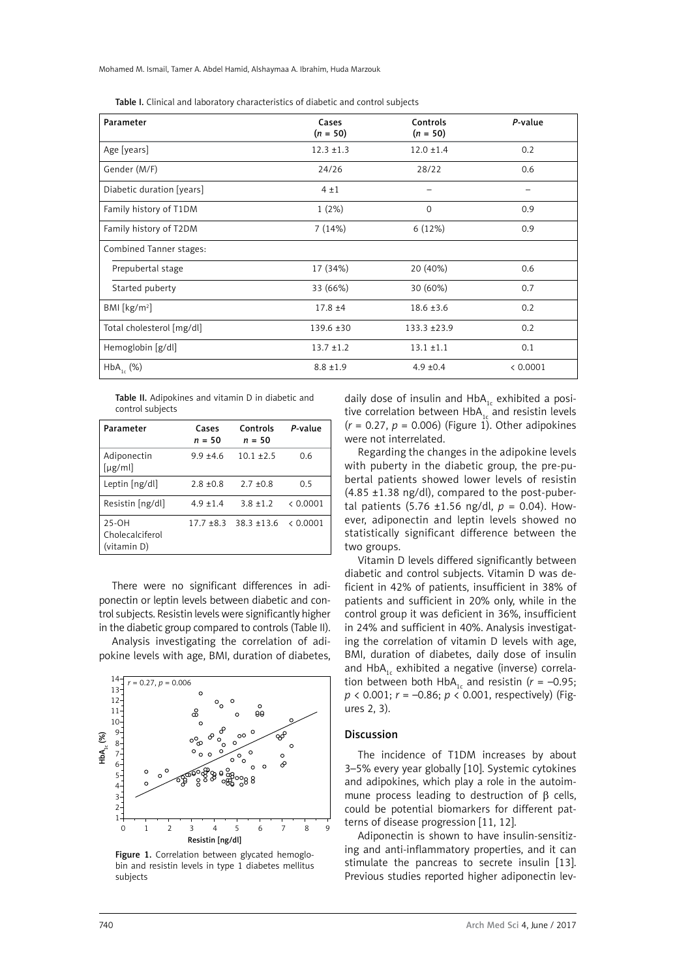Mohamed M. Ismail, Tamer A. Abdel Hamid, Alshaymaa A. Ibrahim, Huda Marzouk

Table I. Clinical and laboratory characteristics of diabetic and control subjects

| Parameter                 | Cases<br>$(n = 50)$ | Controls<br>$(n = 50)$ | P-value  |
|---------------------------|---------------------|------------------------|----------|
| Age [years]               | $12.3 \pm 1.3$      | $12.0 \pm 1.4$         | 0.2      |
| Gender (M/F)              | 24/26               | 28/22                  | 0.6      |
| Diabetic duration [years] | 4±1                 |                        |          |
| Family history of T1DM    | 1(2%)               | $\Omega$               | 0.9      |
| Family history of T2DM    | 7(14%)              | 6 (12%)                | 0.9      |
| Combined Tanner stages:   |                     |                        |          |
| Prepubertal stage         | 17 (34%)            | 20 (40%)               | 0.6      |
| Started puberty           | 33 (66%)            | 30 (60%)               | 0.7      |
| BMI [ $kg/m2$ ]           | $17.8 + 4$          | $18.6 \pm 3.6$         | 0.2      |
| Total cholesterol [mg/dl] | $139.6 \pm 30$      | $133.3 + 23.9$         | 0.2      |
| Hemoglobin [g/dl]         | $13.7 \pm 1.2$      | $13.1 \pm 1.1$         | 0.1      |
| $HbA_{1c}$ (%)            | $8.8 \pm 1.9$       | $4.9 \pm 0.4$          | < 0.0001 |

| Table II. Adipokines and vitamin D in diabetic and |  |
|----------------------------------------------------|--|
| control subjects                                   |  |

| Parameter                               | Cases<br>$n = 50$ | Controls<br>$n = 50$     | P-value  |
|-----------------------------------------|-------------------|--------------------------|----------|
| Adiponectin<br>$[\mu$ g/ml]             | $9.9 + 4.6$       | $10.1 + 2.5$             | 0.6      |
| Leptin [ng/dl]                          | $2.8 + 0.8$       | $2.7 + 0.8$              | 0.5      |
| Resistin [ng/dl]                        | $4.9 \pm 1.4$     | $3.8 \pm 1.2$            | < 0.0001 |
| 25-OH<br>Cholecalciferol<br>(vitamin D) |                   | $17.7 + 8.3$ 38.3 + 13.6 | < 0.0001 |

There were no significant differences in adiponectin or leptin levels between diabetic and control subjects. Resistin levels were significantly higher in the diabetic group compared to controls (Table II).

Analysis investigating the correlation of adipokine levels with age, BMI, duration of diabetes,



Figure 1. Correlation between glycated hemoglobin and resistin levels in type 1 diabetes mellitus subjects

daily dose of insulin and  $HbA_{1c}$  exhibited a positive correlation between HbA $_{1c}$  and resistin levels  $(r = 0.27, p = 0.006)$  (Figure 1). Other adipokines were not interrelated.

Regarding the changes in the adipokine levels with puberty in the diabetic group, the pre-pubertal patients showed lower levels of resistin  $(4.85 \pm 1.38 \text{ ng/dl})$ , compared to the post-pubertal patients (5.76 ±1.56 ng/dl,  $p = 0.04$ ). However, adiponectin and leptin levels showed no statistically significant difference between the two groups.

Vitamin D levels differed significantly between diabetic and control subjects. Vitamin D was deficient in 42% of patients, insufficient in 38% of patients and sufficient in 20% only, while in the control group it was deficient in 36%, insufficient in 24% and sufficient in 40%. Analysis investigating the correlation of vitamin D levels with age, BMI, duration of diabetes, daily dose of insulin and  $HbA_{1c}$  exhibited a negative (inverse) correlation between both HbA<sub>1c</sub> and resistin ( $r = -0.95$ ; *p* < 0.001; *r* = –0.86; *p* < 0.001, respectively) (Figures 2, 3).

#### Discussion

The incidence of T1DM increases by about 3–5% every year globally [10]. Systemic cytokines and adipokines, which play a role in the autoimmune process leading to destruction of β cells, could be potential biomarkers for different patterns of disease progression [11, 12].

Adiponectin is shown to have insulin-sensitizing and anti-inflammatory properties, and it can stimulate the pancreas to secrete insulin [13]. Previous studies reported higher adiponectin lev-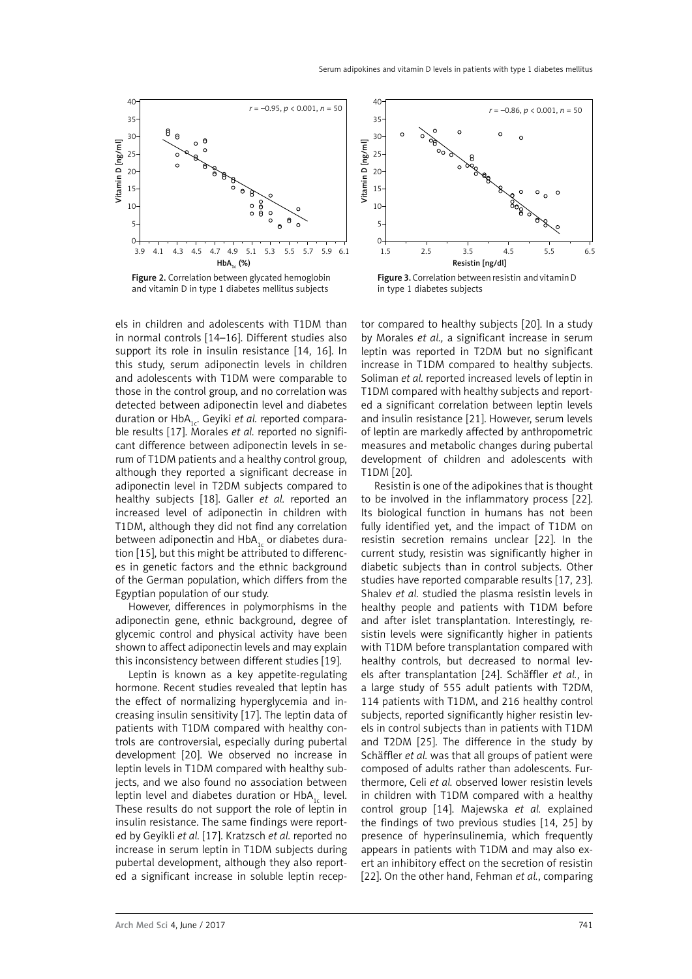

Figure 2. Correlation between glycated hemoglobin and vitamin D in type 1 diabetes mellitus subjects

els in children and adolescents with T1DM than in normal controls [14–16]. Different studies also support its role in insulin resistance [14, 16]. In this study, serum adiponectin levels in children and adolescents with T1DM were comparable to those in the control group, and no correlation was detected between adiponectin level and diabetes duration or HbA<sub>1c</sub>. Geyiki et al. reported comparable results [17]. Morales *et al.* reported no significant difference between adiponectin levels in serum of T1DM patients and a healthy control group, although they reported a significant decrease in adiponectin level in T2DM subjects compared to healthy subjects [18]. Galler *et al.* reported an increased level of adiponectin in children with T1DM, although they did not find any correlation between adiponectin and  $HbA_{1c}$  or diabetes duration [15], but this might be attributed to differences in genetic factors and the ethnic background of the German population, which differs from the Egyptian population of our study.

However, differences in polymorphisms in the adiponectin gene, ethnic background, degree of glycemic control and physical activity have been shown to affect adiponectin levels and may explain this inconsistency between different studies [19].

Leptin is known as a key appetite-regulating hormone. Recent studies revealed that leptin has the effect of normalizing hyperglycemia and increasing insulin sensitivity [17]. The leptin data of patients with T1DM compared with healthy controls are controversial, especially during pubertal development [20]. We observed no increase in leptin levels in T1DM compared with healthy subjects, and we also found no association between leptin level and diabetes duration or HbA<sub>1</sub> level. These results do not support the role of leptin in insulin resistance. The same findings were reported by Geyikli *et al.* [17]. Kratzsch *et al.* reported no increase in serum leptin in T1DM subjects during pubertal development, although they also reported a significant increase in soluble leptin recep-



Figure 3. Correlation between resistin and vitamin D in type 1 diabetes subjects

tor compared to healthy subjects [20]. In a study by Morales *et al.,* a significant increase in serum leptin was reported in T2DM but no significant increase in T1DM compared to healthy subjects. Soliman *et al.* reported increased levels of leptin in T1DM compared with healthy subjects and reported a significant correlation between leptin levels and insulin resistance [21]. However, serum levels of leptin are markedly affected by anthropometric measures and metabolic changes during pubertal development of children and adolescents with T1DM [20].

Resistin is one of the adipokines that is thought to be involved in the inflammatory process [22]. Its biological function in humans has not been fully identified yet, and the impact of T1DM on resistin secretion remains unclear [22]. In the current study, resistin was significantly higher in diabetic subjects than in control subjects. Other studies have reported comparable results [17, 23]. Shalev *et al.* studied the plasma resistin levels in healthy people and patients with T1DM before and after islet transplantation. Interestingly, resistin levels were significantly higher in patients with T1DM before transplantation compared with healthy controls, but decreased to normal levels after transplantation [24]. Schäffler *et al.*, in a large study of 555 adult patients with T2DM, 114 patients with T1DM, and 216 healthy control subjects, reported significantly higher resistin levels in control subjects than in patients with T1DM and T2DM [25]. The difference in the study by Schäffler *et al.* was that all groups of patient were composed of adults rather than adolescents. Furthermore, Celi *et al.* observed lower resistin levels in children with T1DM compared with a healthy control group [14]. Majewska *et al.* explained the findings of two previous studies [14, 25] by presence of hyperinsulinemia, which frequently appears in patients with T1DM and may also exert an inhibitory effect on the secretion of resistin [22]. On the other hand, Fehman *et al.*, comparing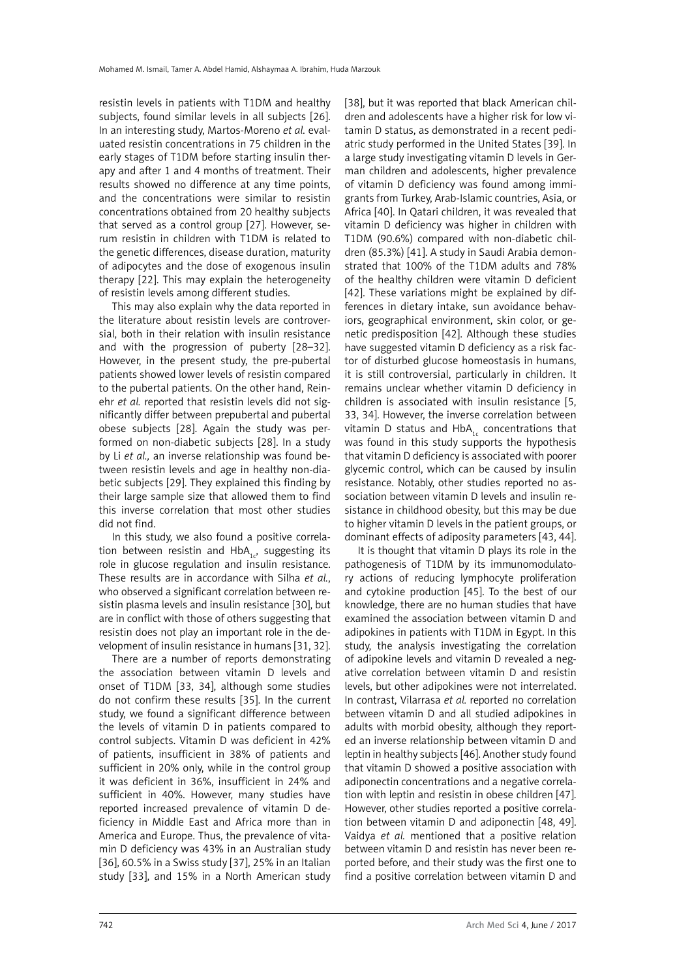resistin levels in patients with T1DM and healthy subjects, found similar levels in all subjects [26]. In an interesting study, Martos-Moreno *et al.* evaluated resistin concentrations in 75 children in the early stages of T1DM before starting insulin therapy and after 1 and 4 months of treatment. Their results showed no difference at any time points, and the concentrations were similar to resistin concentrations obtained from 20 healthy subjects that served as a control group [27]. However, serum resistin in children with T1DM is related to the genetic differences, disease duration, maturity of adipocytes and the dose of exogenous insulin therapy [22]. This may explain the heterogeneity of resistin levels among different studies.

This may also explain why the data reported in the literature about resistin levels are controversial, both in their relation with insulin resistance and with the progression of puberty [28–32]. However, in the present study, the pre-pubertal patients showed lower levels of resistin compared to the pubertal patients. On the other hand, Reinehr *et al.* reported that resistin levels did not significantly differ between prepubertal and pubertal obese subjects [28]. Again the study was performed on non-diabetic subjects [28]. In a study by Li *et al.,* an inverse relationship was found between resistin levels and age in healthy non-diabetic subjects [29]. They explained this finding by their large sample size that allowed them to find this inverse correlation that most other studies did not find.

In this study, we also found a positive correlation between resistin and  $HbA_{1c}$ , suggesting its role in glucose regulation and insulin resistance. These results are in accordance with Silha *et al.*, who observed a significant correlation between resistin plasma levels and insulin resistance [30], but are in conflict with those of others suggesting that resistin does not play an important role in the development of insulin resistance in humans [31, 32].

There are a number of reports demonstrating the association between vitamin D levels and onset of T1DM [33, 34], although some studies do not confirm these results [35]. In the current study, we found a significant difference between the levels of vitamin D in patients compared to control subjects. Vitamin D was deficient in 42% of patients, insufficient in 38% of patients and sufficient in 20% only, while in the control group it was deficient in 36%, insufficient in 24% and sufficient in 40%. However, many studies have reported increased prevalence of vitamin D deficiency in Middle East and Africa more than in America and Europe. Thus, the prevalence of vitamin D deficiency was 43% in an Australian study [36], 60.5% in a Swiss study [37], 25% in an Italian study [33], and 15% in a North American study [38], but it was reported that black American children and adolescents have a higher risk for low vitamin D status, as demonstrated in a recent pediatric study performed in the United States [39]. In a large study investigating vitamin D levels in German children and adolescents, higher prevalence of vitamin D deficiency was found among immigrants from Turkey, Arab-Islamic countries, Asia, or Africa [40]. In Qatari children, it was revealed that vitamin D deficiency was higher in children with T1DM (90.6%) compared with non-diabetic children (85.3%) [41]. A study in Saudi Arabia demonstrated that 100% of the T1DM adults and 78% of the healthy children were vitamin D deficient [42]. These variations might be explained by differences in dietary intake, sun avoidance behaviors, geographical environment, skin color, or genetic predisposition [42]. Although these studies have suggested vitamin D deficiency as a risk factor of disturbed glucose homeostasis in humans, it is still controversial, particularly in children. It remains unclear whether vitamin D deficiency in children is associated with insulin resistance [5, 33, 34]. However, the inverse correlation between vitamin D status and  $HbA<sub>1</sub>$  concentrations that was found in this study supports the hypothesis that vitamin D deficiency is associated with poorer glycemic control, which can be caused by insulin resistance. Notably, other studies reported no association between vitamin D levels and insulin resistance in childhood obesity, but this may be due to higher vitamin D levels in the patient groups, or dominant effects of adiposity parameters [43, 44].

It is thought that vitamin D plays its role in the pathogenesis of T1DM by its immunomodulatory actions of reducing lymphocyte proliferation and cytokine production [45]. To the best of our knowledge, there are no human studies that have examined the association between vitamin D and adipokines in patients with T1DM in Egypt. In this study, the analysis investigating the correlation of adipokine levels and vitamin D revealed a negative correlation between vitamin D and resistin levels, but other adipokines were not interrelated. In contrast, Vilarrasa *et al.* reported no correlation between vitamin D and all studied adipokines in adults with morbid obesity, although they reported an inverse relationship between vitamin D and leptin in healthy subjects [46]. Another study found that vitamin D showed a positive association with adiponectin concentrations and a negative correlation with leptin and resistin in obese children [47]. However, other studies reported a positive correlation between vitamin D and adiponectin [48, 49]. Vaidya *et al.* mentioned that a positive relation between vitamin D and resistin has never been reported before, and their study was the first one to find a positive correlation between vitamin D and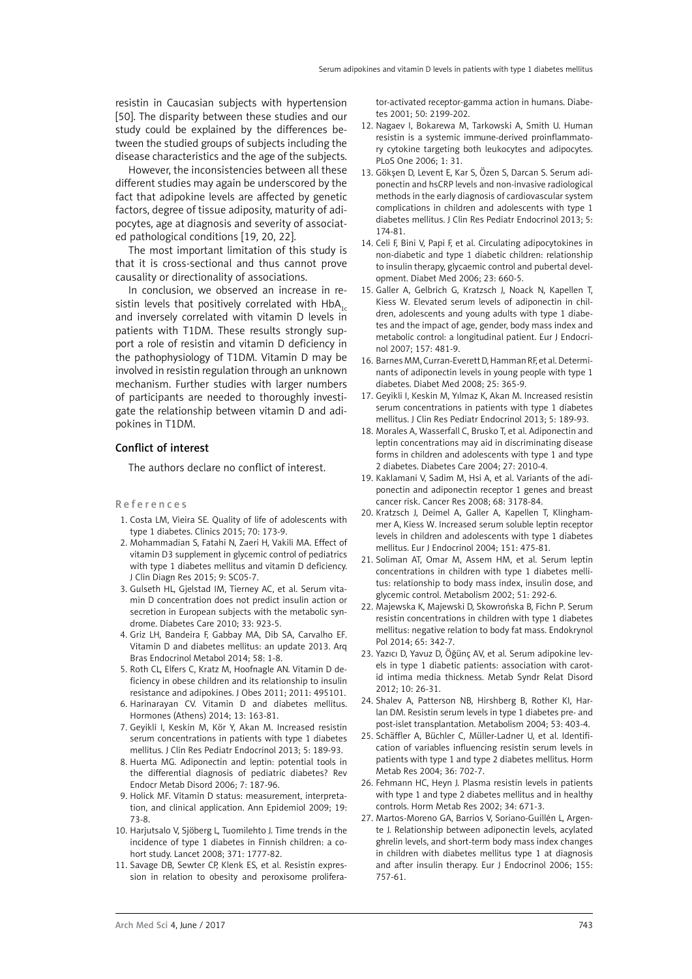resistin in Caucasian subjects with hypertension [50]. The disparity between these studies and our study could be explained by the differences between the studied groups of subjects including the disease characteristics and the age of the subjects.

However, the inconsistencies between all these different studies may again be underscored by the fact that adipokine levels are affected by genetic factors, degree of tissue adiposity, maturity of adipocytes, age at diagnosis and severity of associated pathological conditions [19, 20, 22].

The most important limitation of this study is that it is cross-sectional and thus cannot prove causality or directionality of associations.

In conclusion, we observed an increase in resistin levels that positively correlated with  $HbA_{1c}$ and inversely correlated with vitamin D levels in patients with T1DM. These results strongly support a role of resistin and vitamin D deficiency in the pathophysiology of T1DM. Vitamin D may be involved in resistin regulation through an unknown mechanism. Further studies with larger numbers of participants are needed to thoroughly investigate the relationship between vitamin D and adipokines in T1DM.

## Conflict of interest

The authors declare no conflict of interest.

#### References

- 1. Costa LM, Vieira SE. Quality of life of adolescents with type 1 diabetes. Clinics 2015; 70: 173-9.
- 2. Mohammadian S, Fatahi N, Zaeri H, Vakili MA. Effect of vitamin D3 supplement in glycemic control of pediatrics with type 1 diabetes mellitus and vitamin D deficiency. J Clin Diagn Res 2015; 9: SC05-7.
- 3. Gulseth HL, Gjelstad IM, Tierney AC, et al. Serum vitamin D concentration does not predict insulin action or secretion in European subjects with the metabolic syndrome. Diabetes Care 2010; 33: 923-5.
- 4. Griz LH, Bandeira F, Gabbay MA, Dib SA, Carvalho EF. Vitamin D and diabetes mellitus: an update 2013. Arq Bras Endocrinol Metabol 2014; 58: 1-8.
- 5. Roth CL, Elfers C, Kratz M, Hoofnagle AN. Vitamin D deficiency in obese children and its relationship to insulin resistance and adipokines. J Obes 2011; 2011: 495101.
- 6. Harinarayan CV. Vitamin D and diabetes mellitus. Hormones (Athens) 2014; 13: 163-81.
- 7. Geyikli I, Keskin M, Kör Y, Akan M. Increased resistin serum concentrations in patients with type 1 diabetes mellitus. J Clin Res Pediatr Endocrinol 2013; 5: 189-93.
- 8. Huerta MG. Adiponectin and leptin: potential tools in the differential diagnosis of pediatric diabetes? Rev Endocr Metab Disord 2006; 7: 187-96.
- 9. Holick MF. Vitamin D status: measurement, interpretation, and clinical application. Ann Epidemiol 2009; 19: 73-8.
- 10. Harjutsalo V, Sjöberg L, Tuomilehto J. Time trends in the incidence of type 1 diabetes in Finnish children: a cohort study. Lancet 2008; 371: 1777-82.
- 11. Savage DB, Sewter CP, Klenk ES, et al. Resistin expression in relation to obesity and peroxisome prolifera-

tor-activated receptor-gamma action in humans. Diabetes 2001; 50: 2199-202.

- 12. Nagaev I, Bokarewa M, Tarkowski A, Smith U. Human resistin is a systemic immune-derived proinflammatory cytokine targeting both leukocytes and adipocytes. PLoS One 2006; 1: 31.
- 13. Gökşen D, Levent E, Kar S, Özen S, Darcan S. Serum adiponectin and hsCRP levels and non-invasive radiological methods in the early diagnosis of cardiovascular system complications in children and adolescents with type 1 diabetes mellitus. J Clin Res Pediatr Endocrinol 2013; 5: 174-81.
- 14. Celi F, Bini V, Papi F, et al. Circulating adipocytokines in non-diabetic and type 1 diabetic children: relationship to insulin therapy, glycaemic control and pubertal development. Diabet Med 2006; 23: 660-5.
- 15. Galler A, Gelbrich G, Kratzsch J, Noack N, Kapellen T, Kiess W. Elevated serum levels of adiponectin in children, adolescents and young adults with type 1 diabetes and the impact of age, gender, body mass index and metabolic control: a longitudinal patient. Eur J Endocrinol 2007; 157: 481-9.
- 16. Barnes MM, Curran-Everett D, Hamman RF, et al. Determinants of adiponectin levels in young people with type 1 diabetes. Diabet Med 2008; 25: 365-9.
- 17. Geyikli I, Keskin M, Yılmaz K, Akan M. Increased resistin serum concentrations in patients with type 1 diabetes mellitus. J Clin Res Pediatr Endocrinol 2013; 5: 189-93.
- 18. Morales A, Wasserfall C, Brusko T, et al. Adiponectin and leptin concentrations may aid in discriminating disease forms in children and adolescents with type 1 and type 2 diabetes. Diabetes Care 2004; 27: 2010-4.
- 19. Kaklamani V, Sadim M, Hsi A, et al. Variants of the adiponectin and adiponectin receptor 1 genes and breast cancer risk. Cancer Res 2008; 68: 3178-84.
- 20. Kratzsch J, Deimel A, Galler A, Kapellen T, Klinghammer A, Kiess W. Increased serum soluble leptin receptor levels in children and adolescents with type 1 diabetes mellitus. Eur J Endocrinol 2004; 151: 475-81.
- 21. Soliman AT, Omar M, Assem HM, et al. Serum leptin concentrations in children with type 1 diabetes mellitus: relationship to body mass index, insulin dose, and glycemic control. Metabolism 2002; 51: 292-6.
- 22. Majewska K, Majewski D, Skowrońska B, Fichn P. Serum resistin concentrations in children with type 1 diabetes mellitus: negative relation to body fat mass. Endokrynol Pol 2014; 65: 342-7.
- 23. Yazıcı D, Yavuz D, Öğünç AV, et al. Serum adipokine levels in type 1 diabetic patients: association with carotid intima media thickness. Metab Syndr Relat Disord 2012; 10: 26-31.
- 24. Shalev A, Patterson NB, Hirshberg B, Rother KI, Harlan DM. Resistin serum levels in type 1 diabetes pre- and post-islet transplantation. Metabolism 2004; 53: 403-4.
- 25. Schäffler A, Büchler C, Müller-Ladner U, et al. Identification of variables influencing resistin serum levels in patients with type 1 and type 2 diabetes mellitus. Horm Metab Res 2004; 36: 702-7.
- 26. Fehmann HC, Heyn J. Plasma resistin levels in patients with type 1 and type 2 diabetes mellitus and in healthy controls. Horm Metab Res 2002; 34: 671-3.
- 27. Martos-Moreno GA, Barrios V, Soriano-Guillén L, Argente J. Relationship between adiponectin levels, acylated ghrelin levels, and short-term body mass index changes in children with diabetes mellitus type 1 at diagnosis and after insulin therapy. Eur J Endocrinol 2006; 155: 757-61.